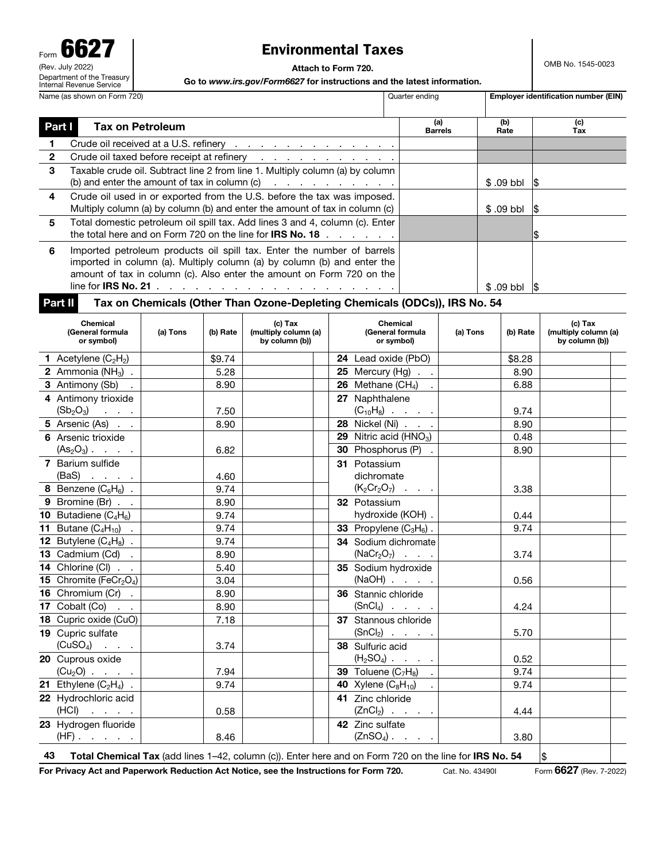| U<br>Form                                              |  |
|--------------------------------------------------------|--|
| (Rev. July 2022)                                       |  |
| Department of the Treasury<br>Internal Revenue Service |  |
| Name (as shown on Form 720                             |  |

## Environmental Taxes

Attach to Form 720.

OMB No. 1545-0023

Go to *www.irs.gov/Form6627* for instructions and the latest information.

| Name (as shown on Form 720) |                                                   |                         | Quarter ending |                                                                                                                                                                                                                                                                                                                                             |                                    |                                                   | Employer identification number (EIN) |               |     |                                                   |
|-----------------------------|---------------------------------------------------|-------------------------|----------------|---------------------------------------------------------------------------------------------------------------------------------------------------------------------------------------------------------------------------------------------------------------------------------------------------------------------------------------------|------------------------------------|---------------------------------------------------|--------------------------------------|---------------|-----|---------------------------------------------------|
| Part I                      |                                                   | <b>Tax on Petroleum</b> |                |                                                                                                                                                                                                                                                                                                                                             |                                    |                                                   | (a)<br><b>Barrels</b>                | (b)<br>Rate   |     | (c)<br>Tax                                        |
|                             |                                                   |                         |                | Crude oil received at a U.S. refinery                                                                                                                                                                                                                                                                                                       |                                    |                                                   |                                      |               |     |                                                   |
| $\mathbf{2}$                |                                                   |                         |                | Crude oil taxed before receipt at refinery                                                                                                                                                                                                                                                                                                  |                                    |                                                   |                                      |               |     |                                                   |
| 3                           | (b) and enter the amount of tax in column (c)     |                         |                | Taxable crude oil. Subtract line 2 from line 1. Multiply column (a) by column                                                                                                                                                                                                                                                               | and a state of the contract of the |                                                   |                                      | $$.09$ bbl    | 15  |                                                   |
| 4                           |                                                   |                         |                | Crude oil used in or exported from the U.S. before the tax was imposed.<br>Multiply column (a) by column (b) and enter the amount of tax in column (c)                                                                                                                                                                                      |                                    |                                                   |                                      | $$.09$ bbl    | 15  |                                                   |
| 5                           |                                                   |                         |                | Total domestic petroleum oil spill tax. Add lines 3 and 4, column (c). Enter<br>the total here and on Form 720 on the line for <b>IRS No. 18</b> $\ldots$                                                                                                                                                                                   |                                    |                                                   |                                      |               |     |                                                   |
| 6                           |                                                   |                         |                | Imported petroleum products oil spill tax. Enter the number of barrels<br>imported in column (a). Multiply column (a) by column (b) and enter the<br>amount of tax in column (c). Also enter the amount on Form 720 on the<br>line for IRS No. 21 $\ldots$ $\ldots$ $\ldots$ $\ldots$ $\ldots$ $\ldots$ $\ldots$ $\ldots$ $\ldots$ $\ldots$ |                                    |                                                   |                                      | $$.09$ bbl    | 1\$ |                                                   |
| Part II                     |                                                   |                         |                | Tax on Chemicals (Other Than Ozone-Depleting Chemicals (ODCs)), IRS No. 54                                                                                                                                                                                                                                                                  |                                    |                                                   |                                      |               |     |                                                   |
|                             | <b>Chemical</b><br>(General formula<br>or symbol) | (a) Tons                | (b) Rate       | $(c)$ Tax<br>(multiply column (a)<br>by column (b))                                                                                                                                                                                                                                                                                         |                                    | <b>Chemical</b><br>(General formula<br>or symbol) | (a) Tons                             | (b) Rate      |     | (c) Tax<br>(multiply column (a)<br>by column (b)) |
|                             | <b>1</b> Acetylene $(C_2H_2)$                     |                         | \$9.74         |                                                                                                                                                                                                                                                                                                                                             | 24 Lead oxide (PbO)                |                                                   |                                      | \$8.28        |     |                                                   |
|                             | $A = 1$                                           |                         | $F \cap T$     |                                                                                                                                                                                                                                                                                                                                             |                                    |                                                   |                                      | $\sim$ $\sim$ |     |                                                   |

| <b>1</b> Acetylene $(C_2H_2)$                          | \$9.74                                                                                        | <b>24</b> Lead oxide (PbO)            | \$8.28                                                                                                                                                                                        |  |
|--------------------------------------------------------|-----------------------------------------------------------------------------------------------|---------------------------------------|-----------------------------------------------------------------------------------------------------------------------------------------------------------------------------------------------|--|
| $\overline{2}$ Ammonia (NH <sub>3</sub> ).             | 5.28                                                                                          | $\overline{25}$ Mercury (Hg) $\ldots$ | 8.90                                                                                                                                                                                          |  |
| 3 Antimony (Sb) .                                      | 8.90                                                                                          |                                       | 6.88                                                                                                                                                                                          |  |
| 4 Antimony trioxide                                    |                                                                                               | 27 Naphthalene                        |                                                                                                                                                                                               |  |
| $(Sb_2O_3)$                                            | 7.50                                                                                          | $(C_{10}H_8)$                         | 9.74                                                                                                                                                                                          |  |
|                                                        | 8.90                                                                                          | 28 Nickel (Ni)                        | 8.90                                                                                                                                                                                          |  |
| 6 Arsenic trioxide                                     |                                                                                               |                                       | 0.48                                                                                                                                                                                          |  |
| $(As2O3)$                                              | 6.82                                                                                          | 30 Phosphorus (P) .                   | 8.90                                                                                                                                                                                          |  |
| 7 Barium sulfide                                       |                                                                                               | 31 Potassium                          |                                                                                                                                                                                               |  |
|                                                        | 4.60                                                                                          | dichromate                            |                                                                                                                                                                                               |  |
|                                                        | 9.74                                                                                          |                                       | 3.38                                                                                                                                                                                          |  |
| 9 Bromine (Br)                                         | 8.90                                                                                          | 32 Potassium                          |                                                                                                                                                                                               |  |
| 10 Butadiene $(C_4H_6)$                                | 9.74                                                                                          | hydroxide (KOH) .                     | 0.44                                                                                                                                                                                          |  |
| <b>11</b> Butane $(C_4H_{10})$ .                       | 9.74                                                                                          | 33 Propylene $(C_3H_6)$ .             | 9.74                                                                                                                                                                                          |  |
| <b>12</b> Butylene $(C_4H_8)$ .                        | 9.74                                                                                          | 34 Sodium dichromate                  |                                                                                                                                                                                               |  |
| 13 Cadmium $(Cd)$ .                                    | 8.90                                                                                          | $(NaCr2O7)$                           | 3.74                                                                                                                                                                                          |  |
| 14 Chlorine (CI)                                       | 5.40                                                                                          | 35 Sodium hydroxide                   |                                                                                                                                                                                               |  |
| <b>15</b> Chromite (FeCr <sub>2</sub> O <sub>4</sub> ) | 3.04                                                                                          |                                       | 0.56                                                                                                                                                                                          |  |
| 16 Chromium (Cr).                                      | 8.90                                                                                          | 36 Stannic chloride                   |                                                                                                                                                                                               |  |
| 17 Cobalt $(Co)$                                       | 8.90                                                                                          |                                       | 4.24                                                                                                                                                                                          |  |
| 18 Cupric oxide (CuO)                                  | 7.18                                                                                          | 37 Stannous chloride                  |                                                                                                                                                                                               |  |
| 19 Cupric sulfate                                      |                                                                                               | $(SnCl2)$                             | 5.70                                                                                                                                                                                          |  |
|                                                        | 3.74                                                                                          | 38 Sulfuric acid                      |                                                                                                                                                                                               |  |
| 20 Cuprous oxide                                       |                                                                                               |                                       | 0.52                                                                                                                                                                                          |  |
| $(Cu_2O)$                                              | 7.94                                                                                          |                                       | 9.74                                                                                                                                                                                          |  |
|                                                        | 9.74                                                                                          | <b>40</b> Xylene $(C_8H_{10})$ .      | 9.74                                                                                                                                                                                          |  |
| 22 Hydrochloric acid                                   |                                                                                               | 41 Zinc chloride                      |                                                                                                                                                                                               |  |
| $(HCI)$                                                | 0.58                                                                                          |                                       | 4.44                                                                                                                                                                                          |  |
| 23 Hydrogen fluoride                                   |                                                                                               | 42 Zinc sulfate                       |                                                                                                                                                                                               |  |
| $(HF)$                                                 | 8.46                                                                                          | $(ZnSO_4)$                            | 3.80                                                                                                                                                                                          |  |
|                                                        | 5 Arsenic (As)<br>$(BaS)$<br>8 Benzene $(C_6H_6)$ .<br>$(CuSO_4)$<br>21 Ethylene $(C_2H_4)$ . |                                       | $\overline{26}$ Methane (CH <sub>4</sub> ) .<br>29 Nitric acid ( $HNO3$ )<br>$(K_2Cr_2O_7) \cdot \cdot \cdot$<br>$(NaOH)$<br>$(SnCl4)$<br>$(H_2SO_4)$<br>39 Toluene $(C_7H_8)$ .<br>$(ZnCl2)$ |  |

Total Chemical Tax (add lines  $1-42$ , column (c)). Enter here and on Form 720 on the line for IRS No. 54  $\frac{1}{5}$ 

For Privacy Act and Paperwork Reduction Act Notice, see the Instructions for Form 720. Cat. No. 43490I Form 6627 (Rev. 7-2022)